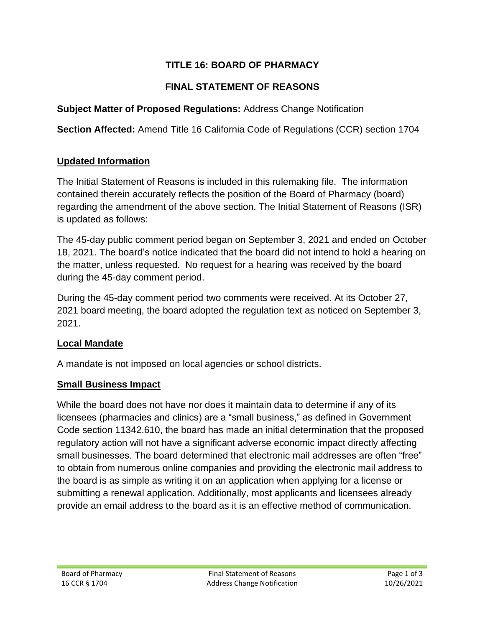# **TITLE 16: BOARD OF PHARMACY**

## **FINAL STATEMENT OF REASONS**

**Subject Matter of Proposed Regulations:** Address Change Notification

**Section Affected:** Amend Title 16 California Code of Regulations (CCR) section 1704

### **Updated Information**

The Initial Statement of Reasons is included in this rulemaking file. The information contained therein accurately reflects the position of the Board of Pharmacy (board) regarding the amendment of the above section. The Initial Statement of Reasons (ISR) is updated as follows:

The 45-day public comment period began on September 3, 2021 and ended on October 18, 2021. The board's notice indicated that the board did not intend to hold a hearing on the matter, unless requested. No request for a hearing was received by the board during the 45-day comment period.

During the 45-day comment period two comments were received. At its October 27, 2021 board meeting, the board adopted the regulation text as noticed on September 3, 2021.

### **Local Mandate**

A mandate is not imposed on local agencies or school districts.

### **Small Business Impact**

While the board does not have nor does it maintain data to determine if any of its licensees (pharmacies and clinics) are a "small business," as defined in Government Code section 11342.610, the board has made an initial determination that the proposed regulatory action will not have a significant adverse economic impact directly affecting small businesses. The board determined that electronic mail addresses are often "free" to obtain from numerous online companies and providing the electronic mail address to the board is as simple as writing it on an application when applying for a license or submitting a renewal application. Additionally, most applicants and licensees already provide an email address to the board as it is an effective method of communication.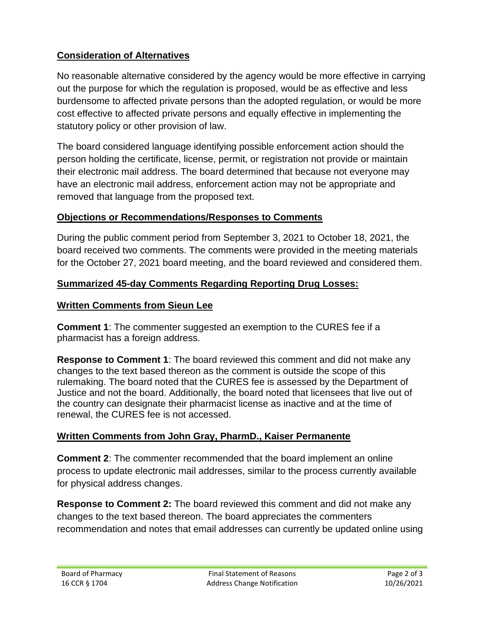# **Consideration of Alternatives**

No reasonable alternative considered by the agency would be more effective in carrying out the purpose for which the regulation is proposed, would be as effective and less burdensome to affected private persons than the adopted regulation, or would be more cost effective to affected private persons and equally effective in implementing the statutory policy or other provision of law.

The board considered language identifying possible enforcement action should the person holding the certificate, license, permit, or registration not provide or maintain their electronic mail address. The board determined that because not everyone may have an electronic mail address, enforcement action may not be appropriate and removed that language from the proposed text.

### **Objections or Recommendations/Responses to Comments**

During the public comment period from September 3, 2021 to October 18, 2021, the board received two comments. The comments were provided in the meeting materials for the October 27, 2021 board meeting, and the board reviewed and considered them.

## **Summarized 45-day Comments Regarding Reporting Drug Losses:**

### **Written Comments from Sieun Lee**

**Comment 1**: The commenter suggested an exemption to the CURES fee if a pharmacist has a foreign address.

**Response to Comment 1**: The board reviewed this comment and did not make any changes to the text based thereon as the comment is outside the scope of this rulemaking. The board noted that the CURES fee is assessed by the Department of Justice and not the board. Additionally, the board noted that licensees that live out of the country can designate their pharmacist license as inactive and at the time of renewal, the CURES fee is not accessed.

## **Written Comments from John Gray, PharmD., Kaiser Permanente**

**Comment 2**: The commenter recommended that the board implement an online process to update electronic mail addresses, similar to the process currently available for physical address changes.

**Response to Comment 2:** The board reviewed this comment and did not make any changes to the text based thereon. The board appreciates the commenters recommendation and notes that email addresses can currently be updated online using